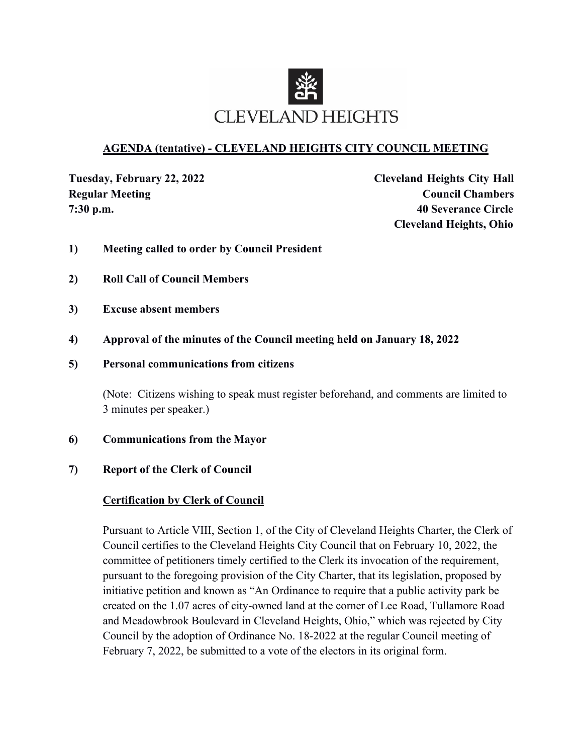

### **AGENDA (tentative) - CLEVELAND HEIGHTS CITY COUNCIL MEETING**

**Tuesday, February 22, 2022 Cleveland Heights City Hall Regular Meeting Council Chambers 7:30 p.m. 40 Severance Circle Cleveland Heights, Ohio**

- **1) Meeting called to order by Council President**
- **2) Roll Call of Council Members**
- **3) Excuse absent members**
- **4) Approval of the minutes of the Council meeting held on January 18, 2022**
- **5) Personal communications from citizens**

(Note: Citizens wishing to speak must register beforehand, and comments are limited to 3 minutes per speaker.)

- **6) Communications from the Mayor**
- **7) Report of the Clerk of Council**

#### **Certification by Clerk of Council**

Pursuant to Article VIII, Section 1, of the City of Cleveland Heights Charter, the Clerk of Council certifies to the Cleveland Heights City Council that on February 10, 2022, the committee of petitioners timely certified to the Clerk its invocation of the requirement, pursuant to the foregoing provision of the City Charter, that its legislation, proposed by initiative petition and known as "An Ordinance to require that a public activity park be created on the 1.07 acres of city-owned land at the corner of Lee Road, Tullamore Road and Meadowbrook Boulevard in Cleveland Heights, Ohio," which was rejected by City Council by the adoption of Ordinance No. 18-2022 at the regular Council meeting of February 7, 2022, be submitted to a vote of the electors in its original form.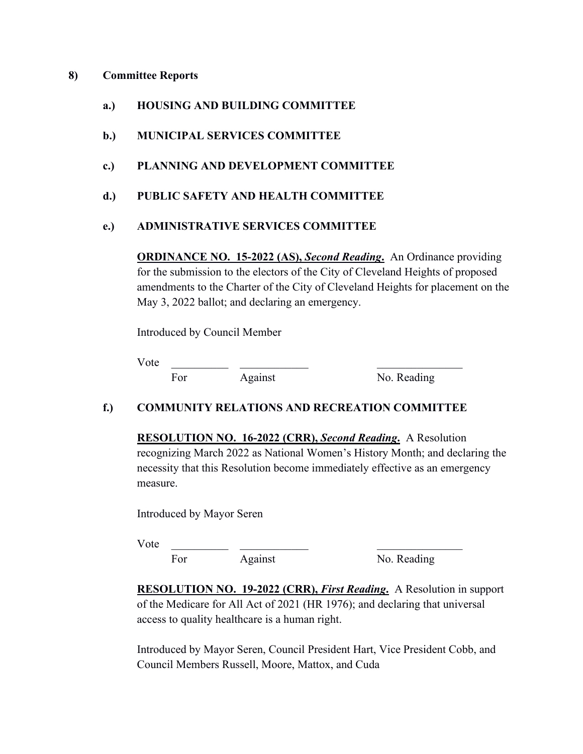#### **8) Committee Reports**

- **a.) HOUSING AND BUILDING COMMITTEE**
- **b.) MUNICIPAL SERVICES COMMITTEE**
- **c.) PLANNING AND DEVELOPMENT COMMITTEE**
- **d.) PUBLIC SAFETY AND HEALTH COMMITTEE**

### **e.) ADMINISTRATIVE SERVICES COMMITTEE**

**ORDINANCE NO. 15-2022 (AS),** *Second Reading***.** An Ordinance providing for the submission to the electors of the City of Cleveland Heights of proposed amendments to the Charter of the City of Cleveland Heights for placement on the May 3, 2022 ballot; and declaring an emergency.

Introduced by Council Member

Vote \_\_\_\_\_\_\_\_\_\_ \_\_\_\_\_\_\_\_\_\_\_\_ \_\_\_\_\_\_\_\_\_\_\_\_\_\_\_

For Against No. Reading

### **f.) COMMUNITY RELATIONS AND RECREATION COMMITTEE**

**RESOLUTION NO. 16-2022 (CRR),** *Second Reading***.** A Resolution recognizing March 2022 as National Women's History Month; and declaring the necessity that this Resolution become immediately effective as an emergency measure.

Introduced by Mayor Seren

Vote \_\_\_\_\_\_\_\_\_\_ \_\_\_\_\_\_\_\_\_\_\_\_ \_\_\_\_\_\_\_\_\_\_\_\_\_\_\_ For Against No. Reading

**RESOLUTION NO. 19-2022 (CRR),** *First Reading***.** A Resolution in support of the Medicare for All Act of 2021 (HR 1976); and declaring that universal access to quality healthcare is a human right.

Introduced by Mayor Seren, Council President Hart, Vice President Cobb, and Council Members Russell, Moore, Mattox, and Cuda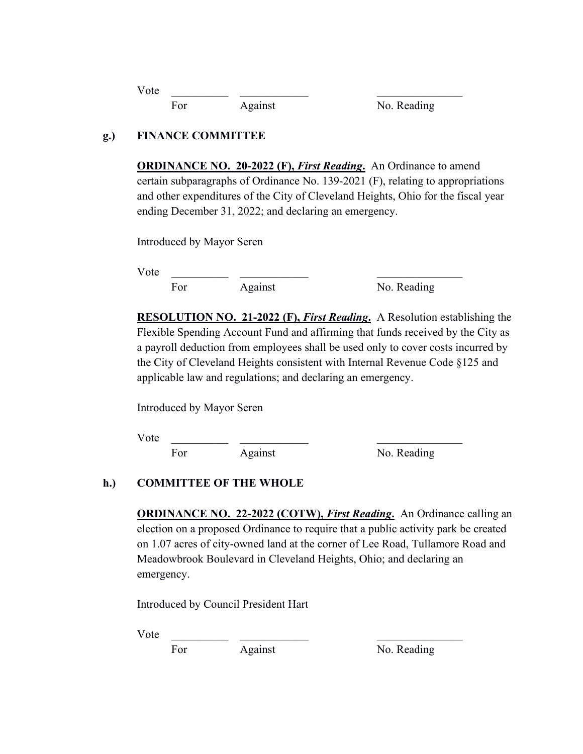| Vote |     |         |             |
|------|-----|---------|-------------|
|      | For | Against | No. Reading |

## **g.) FINANCE COMMITTEE**

**ORDINANCE NO. 20-2022 (F),** *First Reading***.** An Ordinance to amend certain subparagraphs of Ordinance No. 139-2021 (F), relating to appropriations and other expenditures of the City of Cleveland Heights, Ohio for the fiscal year ending December 31, 2022; and declaring an emergency.

Introduced by Mayor Seren

Vote \_\_\_\_\_\_\_\_\_\_ \_\_\_\_\_\_\_\_\_\_\_\_ \_\_\_\_\_\_\_\_\_\_\_\_\_\_\_

For Against No. Reading

**RESOLUTION NO. 21-2022 (F),** *First Reading***.** A Resolution establishing the Flexible Spending Account Fund and affirming that funds received by the City as a payroll deduction from employees shall be used only to cover costs incurred by the City of Cleveland Heights consistent with Internal Revenue Code §125 and applicable law and regulations; and declaring an emergency.

Introduced by Mayor Seren

Vote \_\_\_\_\_\_\_\_\_\_ \_\_\_\_\_\_\_\_\_\_\_\_ \_\_\_\_\_\_\_\_\_\_\_\_\_\_\_

For Against No. Reading

# **h.) COMMITTEE OF THE WHOLE**

**ORDINANCE NO. 22-2022 (COTW),** *First Reading***.** An Ordinance calling an election on a proposed Ordinance to require that a public activity park be created on 1.07 acres of city-owned land at the corner of Lee Road, Tullamore Road and Meadowbrook Boulevard in Cleveland Heights, Ohio; and declaring an emergency.

Introduced by Council President Hart

 $Vote$ 

For Against No. Reading